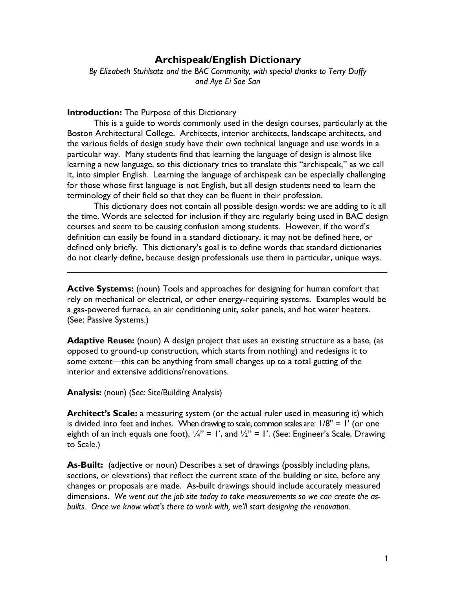## **Archispeak/English Dictionary**

*By Elizabeth Stuhlsatz and the BAC Community, with special thanks to Terry Duffy and Aye Ei Soe San*

## **Introduction:** The Purpose of this Dictionary

This is a guide to words commonly used in the design courses, particularly at the Boston Architectural College. Architects, interior architects, landscape architects, and the various fields of design study have their own technical language and use words in a particular way. Many students find that learning the language of design is almost like learning a new language, so this dictionary tries to translate this "archispeak," as we call it, into simpler English. Learning the language of archispeak can be especially challenging for those whose first language is not English, but all design students need to learn the terminology of their field so that they can be fluent in their profession.

 This dictionary does not contain all possible design words; we are adding to it all the time. Words are selected for inclusion if they are regularly being used in BAC design courses and seem to be causing confusion among students. However, if the word's definition can easily be found in a standard dictionary, it may not be defined here, or defined only briefly. This dictionary's goal is to define words that standard dictionaries do not clearly define, because design professionals use them in particular, unique ways.

**Active Systems:** (noun) Tools and approaches for designing for human comfort that rely on mechanical or electrical, or other energy-requiring systems. Examples would be a gas-powered furnace, an air conditioning unit, solar panels, and hot water heaters. (See: Passive Systems.)

\_\_\_\_\_\_\_\_\_\_\_\_\_\_\_\_\_\_\_\_\_\_\_\_\_\_\_\_\_\_\_\_\_\_\_\_\_\_\_\_\_\_\_\_\_\_\_\_\_\_\_\_\_\_\_\_\_\_\_\_\_\_\_\_\_

Adaptive Reuse: (noun) A design project that uses an existing structure as a base, (as opposed to ground-up construction, which starts from nothing) and redesigns it to some extent—this can be anything from small changes up to a total gutting of the interior and extensive additions/renovations.

**Analysis:** (noun) (See: Site/Building Analysis)

**Architect's Scale:** a measuring system (or the actual ruler used in measuring it) which is divided into feet and inches. When drawing to scale, common scales are:  $1/8" = 1'$  (or one eighth of an inch equals one foot),  $\frac{1}{4}$ " = 1', and  $\frac{1}{2}$ " = 1'. (See: Engineer's Scale, Drawing to Scale.)

**As-Built:** (adjective or noun) Describes a set of drawings (possibly including plans, sections, or elevations) that reflect the current state of the building or site, before any changes or proposals are made. As-built drawings should include accurately measured dimensions. *We went out the job site today to take measurements so we can create the asbuilts. Once we know what's there to work with, we'll start designing the renovation.*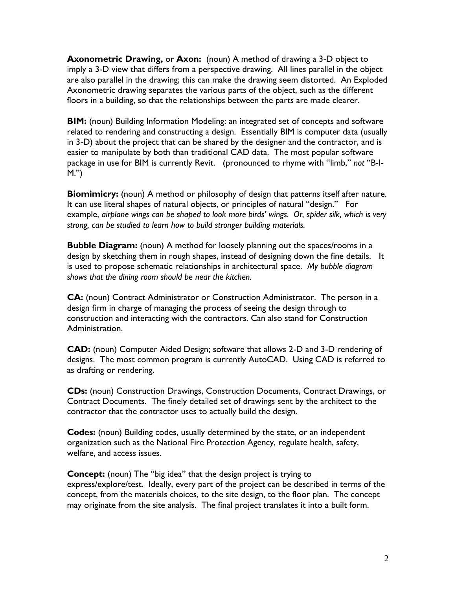**Axonometric Drawing,** or **Axon:** (noun) A method of drawing a 3-D object to imply a 3-D view that differs from a perspective drawing. All lines parallel in the object are also parallel in the drawing; this can make the drawing seem distorted. An Exploded Axonometric drawing separates the various parts of the object, such as the different floors in a building, so that the relationships between the parts are made clearer.

**BIM:** (noun) Building Information Modeling: an integrated set of concepts and software related to rendering and constructing a design. Essentially BIM is computer data (usually in 3-D) about the project that can be shared by the designer and the contractor, and is easier to manipulate by both than traditional CAD data. The most popular software package in use for BIM is currently Revit. (pronounced to rhyme with "limb," *not* "B-I-M.")

**Biomimicry:** (noun) A method or philosophy of design that patterns itself after nature. It can use literal shapes of natural objects, or principles of natural "design." For example, *airplane wings can be shaped to look more birds' wings. Or, spider silk, which is very strong, can be studied to learn how to build stronger building materials.*

**Bubble Diagram:** (noun) A method for loosely planning out the spaces/rooms in a design by sketching them in rough shapes, instead of designing down the fine details. It is used to propose schematic relationships in architectural space. *My bubble diagram shows that the dining room should be near the kitchen.*

**CA:** (noun) Contract Administrator or Construction Administrator. The person in a design firm in charge of managing the process of seeing the design through to construction and interacting with the contractors. Can also stand for Construction Administration.

**CAD:** (noun) Computer Aided Design; software that allows 2-D and 3-D rendering of designs. The most common program is currently AutoCAD. Using CAD is referred to as drafting or rendering.

**CDs:** (noun) Construction Drawings, Construction Documents, Contract Drawings, or Contract Documents. The finely detailed set of drawings sent by the architect to the contractor that the contractor uses to actually build the design.

**Codes:** (noun) Building codes, usually determined by the state, or an independent organization such as the National Fire Protection Agency, regulate health, safety, welfare, and access issues.

**Concept:** (noun) The "big idea" that the design project is trying to express/explore/test. Ideally, every part of the project can be described in terms of the concept, from the materials choices, to the site design, to the floor plan. The concept may originate from the site analysis. The final project translates it into a built form.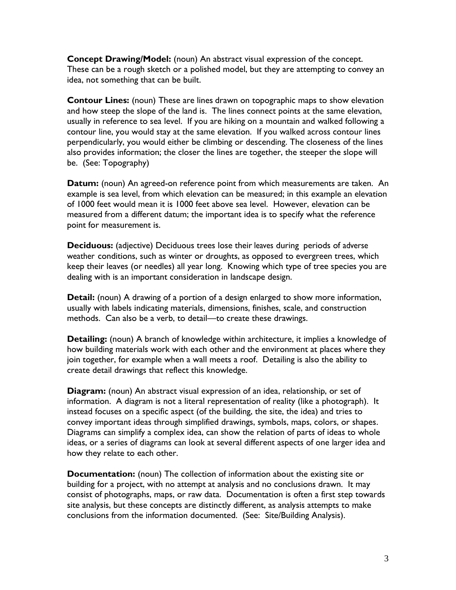**Concept Drawing/Model:** (noun) An abstract visual expression of the concept. These can be a rough sketch or a polished model, but they are attempting to convey an idea, not something that can be built.

**Contour Lines:** (noun) These are lines drawn on topographic maps to show elevation and how steep the slope of the land is. The lines connect points at the same elevation, usually in reference to sea level. If you are hiking on a mountain and walked following a contour line, you would stay at the same elevation. If you walked across contour lines perpendicularly, you would either be climbing or descending. The closeness of the lines also provides information; the closer the lines are together, the steeper the slope will be. (See: Topography)

**Datum:** (noun) An agreed-on reference point from which measurements are taken. An example is sea level, from which elevation can be measured; in this example an elevation of 1000 feet would mean it is 1000 feet above sea level. However, elevation can be measured from a different datum; the important idea is to specify what the reference point for measurement is.

**Deciduous:** (adjective) Deciduous trees lose their leaves during periods of adverse weather conditions, such as winter or droughts, as opposed to evergreen trees, which keep their leaves (or needles) all year long. Knowing which type of tree species you are dealing with is an important consideration in landscape design.

**Detail:** (noun) A drawing of a portion of a design enlarged to show more information, usually with labels indicating materials, dimensions, finishes, scale, and construction methods. Can also be a verb, to detail—to create these drawings.

**Detailing:** (noun) A branch of knowledge within architecture, it implies a knowledge of how building materials work with each other and the environment at places where they join together, for example when a wall meets a roof. Detailing is also the ability to create detail drawings that reflect this knowledge.

**Diagram:** (noun) An abstract visual expression of an idea, relationship, or set of information. A diagram is not a literal representation of reality (like a photograph). It instead focuses on a specific aspect (of the building, the site, the idea) and tries to convey important ideas through simplified drawings, symbols, maps, colors, or shapes. Diagrams can simplify a complex idea, can show the relation of parts of ideas to whole ideas, or a series of diagrams can look at several different aspects of one larger idea and how they relate to each other.

**Documentation:** (noun) The collection of information about the existing site or building for a project, with no attempt at analysis and no conclusions drawn. It may consist of photographs, maps, or raw data. Documentation is often a first step towards site analysis, but these concepts are distinctly different, as analysis attempts to make conclusions from the information documented. (See: Site/Building Analysis).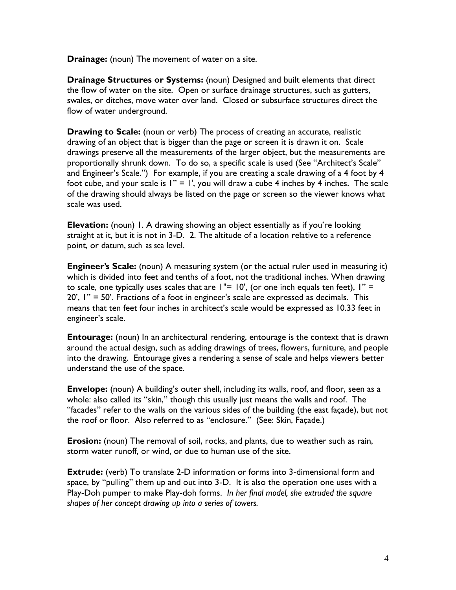**Drainage:** (noun) The movement of water on a site.

**Drainage Structures or Systems:** (noun) Designed and built elements that direct the flow of water on the site. Open or surface drainage structures, such as gutters, swales, or ditches, move water over land. Closed or subsurface structures direct the flow of water underground.

**Drawing to Scale:** (noun or verb) The process of creating an accurate, realistic drawing of an object that is bigger than the page or screen it is drawn it on. Scale drawings preserve all the measurements of the larger object, but the measurements are proportionally shrunk down. To do so, a specific scale is used (See "Architect's Scale" and Engineer's Scale.") For example, if you are creating a scale drawing of a 4 foot by 4 foot cube, and your scale is  $1" = 1'$ , you will draw a cube 4 inches by 4 inches. The scale of the drawing should always be listed on the page or screen so the viewer knows what scale was used.

**Elevation:** (noun) 1. A drawing showing an object essentially as if you're looking straight at it, but it is not in 3-D. 2. The altitude of a location relative to a reference point, or datum, such as sea level.

**Engineer's Scale:** (noun) A measuring system (or the actual ruler used in measuring it) which is divided into feet and tenths of a foot, not the traditional inches. When drawing to scale, one typically uses scales that are  $1"$  = 10', (or one inch equals ten feet),  $1"$  = 20', 1" = 50'. Fractions of a foot in engineer's scale are expressed as decimals. This means that ten feet four inches in architect's scale would be expressed as 10.33 feet in engineer's scale.

**Entourage:** (noun) In an architectural rendering, entourage is the context that is drawn around the actual design, such as adding drawings of trees, flowers, furniture, and people into the drawing. Entourage gives a rendering a sense of scale and helps viewers better understand the use of the space.

**Envelope:** (noun) A building's outer shell, including its walls, roof, and floor, seen as a whole: also called its "skin," though this usually just means the walls and roof. The "facades" refer to the walls on the various sides of the building (the east façade), but not the roof or floor. Also referred to as "enclosure." (See: Skin, Façade.)

**Erosion:** (noun) The removal of soil, rocks, and plants, due to weather such as rain, storm water runoff, or wind, or due to human use of the site.

**Extrude:** (verb) To translate 2-D information or forms into 3-dimensional form and space, by "pulling" them up and out into 3-D. It is also the operation one uses with a Play-Doh pumper to make Play-doh forms. *In her final model, she extruded the square shapes of her concept drawing up into a series of towers.*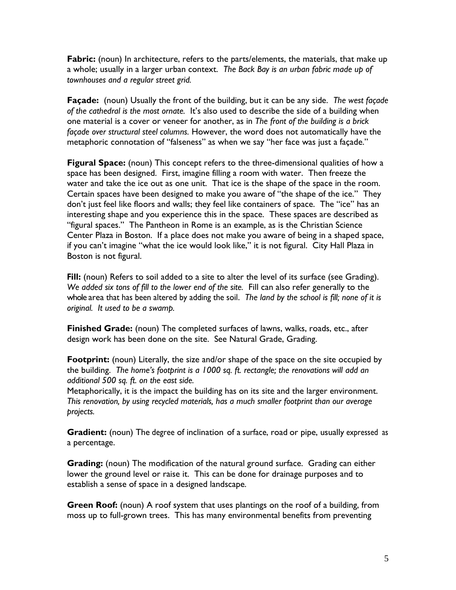Fabric: (noun) In architecture, refers to the parts/elements, the materials, that make up a whole; usually in a larger urban context. *The Back Bay is an urban fabric made up of townhouses and a regular street grid.* 

**Façade:** (noun) Usually the front of the building, but it can be any side. *The west façade of the cathedral is the most ornate.* It's also used to describe the side of a building when one material is a cover or veneer for another, as in *The front of the building is a brick façade over structural steel columns.* However, the word does not automatically have the metaphoric connotation of "falseness" as when we say "her face was just a façade."

**Figural Space:** (noun) This concept refers to the three-dimensional qualities of how a space has been designed. First, imagine filling a room with water. Then freeze the water and take the ice out as one unit. That ice is the shape of the space in the room. Certain spaces have been designed to make you aware of "the shape of the ice." They don't just feel like floors and walls; they feel like containers of space. The "ice" has an interesting shape and you experience this in the space. These spaces are described as "figural spaces." The Pantheon in Rome is an example, as is the Christian Science Center Plaza in Boston. If a place does not make you aware of being in a shaped space, if you can't imagine "what the ice would look like," it is not figural. City Hall Plaza in Boston is not figural.

**Fill:** (noun) Refers to soil added to a site to alter the level of its surface (see Grading). *We added six tons of fill to the lower end of the site.* Fill can also refer generally to the whole area that has been altered by adding the soil. *The land by the school is fill; none of it is original. It used to be a swamp.*

**Finished Grade:** (noun) The completed surfaces of lawns, walks, roads, etc., after design work has been done on the site. See Natural Grade, Grading.

**Footprint:** (noun) Literally, the size and/or shape of the space on the site occupied by the building. *The home's footprint is a 1000 sq. ft. rectangle; the renovations will add an additional 500 sq. ft. on the east side.*

Metaphorically, it is the impact the building has on its site and the larger environment. *This renovation, by using recycled materials, has a much smaller footprint than our average projects.*

**Gradient:** (noun) The degree of inclination of a surface, road or pipe, usually expressed as a percentage.

**Grading:** (noun) The modification of the natural ground surface. Grading can either lower the ground level or raise it. This can be done for drainage purposes and to establish a sense of space in a designed landscape.

**Green Roof:** (noun) A roof system that uses plantings on the roof of a building, from moss up to full-grown trees. This has many environmental benefits from preventing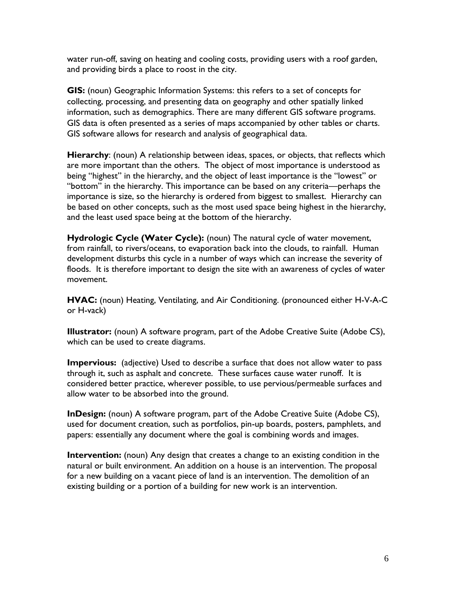water run-off, saving on heating and cooling costs, providing users with a roof garden, and providing birds a place to roost in the city.

**GIS:** (noun) Geographic Information Systems: this refers to a set of concepts for collecting, processing, and presenting data on geography and other spatially linked information, such as demographics. There are many different GIS software programs. GIS data is often presented as a series of maps accompanied by other tables or charts. GIS software allows for research and analysis of geographical data.

**Hierarchy**: (noun) A relationship between ideas, spaces, or objects, that reflects which are more important than the others. The object of most importance is understood as being "highest" in the hierarchy, and the object of least importance is the "lowest" or "bottom" in the hierarchy. This importance can be based on any criteria—perhaps the importance is size, so the hierarchy is ordered from biggest to smallest. Hierarchy can be based on other concepts, such as the most used space being highest in the hierarchy, and the least used space being at the bottom of the hierarchy.

**Hydrologic Cycle (Water Cycle):** (noun) The natural cycle of water movement, from rainfall, to rivers/oceans, to evaporation back into the clouds, to rainfall. Human development disturbs this cycle in a number of ways which can increase the severity of floods. It is therefore important to design the site with an awareness of cycles of water movement.

**HVAC:** (noun) Heating, Ventilating, and Air Conditioning. (pronounced either H-V-A-C or H-vack)

**Illustrator:** (noun) A software program, part of the Adobe Creative Suite (Adobe CS), which can be used to create diagrams.

**Impervious:** (adjective) Used to describe a surface that does not allow water to pass through it, such as asphalt and concrete. These surfaces cause water runoff. It is considered better practice, wherever possible, to use pervious/permeable surfaces and allow water to be absorbed into the ground.

**InDesign:** (noun) A software program, part of the Adobe Creative Suite (Adobe CS), used for document creation, such as portfolios, pin-up boards, posters, pamphlets, and papers: essentially any document where the goal is combining words and images.

**Intervention:** (noun) Any design that creates a change to an existing condition in the natural or built environment. An addition on a house is an intervention. The proposal for a new building on a vacant piece of land is an intervention. The demolition of an existing building or a portion of a building for new work is an intervention.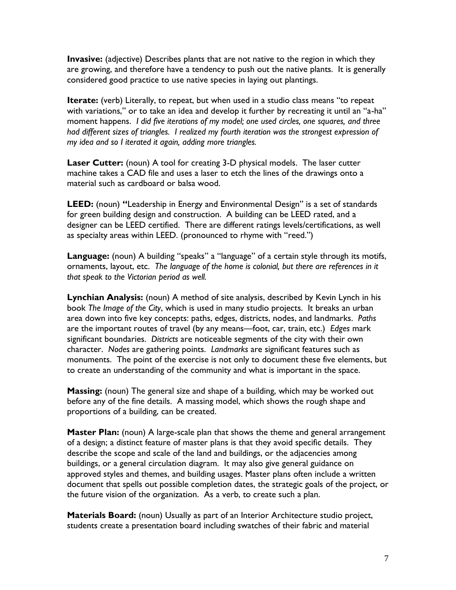**Invasive:** (adjective) Describes plants that are not native to the region in which they are growing, and therefore have a tendency to push out the native plants. It is generally considered good practice to use native species in laying out plantings.

**Iterate:** (verb) Literally, to repeat, but when used in a studio class means "to repeat with variations," or to take an idea and develop it further by recreating it until an "a-ha" moment happens. *I did five iterations of my model; one used circles, one squares, and three had different sizes of triangles. I realized my fourth iteration was the strongest expression of my idea and so I iterated it again, adding more triangles.*

Laser Cutter: (noun) A tool for creating 3-D physical models. The laser cutter machine takes a CAD file and uses a laser to etch the lines of the drawings onto a material such as cardboard or balsa wood.

**LEED:** (noun) **"**Leadership in Energy and Environmental Design" is a set of standards for green building design and construction. A building can be LEED rated, and a designer can be LEED certified. There are different ratings levels/certifications, as well as specialty areas within LEED. (pronounced to rhyme with "reed.")

**Language:** (noun) A building "speaks" a "language" of a certain style through its motifs, ornaments, layout, etc. *The language of the home is colonial, but there are references in it that speak to the Victorian period as well.*

**Lynchian Analysis:** (noun) A method of site analysis, described by Kevin Lynch in his book *The Image of the City*, which is used in many studio projects. It breaks an urban area down into five key concepts: paths, edges, districts, nodes, and landmarks. *Paths* are the important routes of travel (by any means—foot, car, train, etc.) *Edges* mark significant boundaries. *Districts* are noticeable segments of the city with their own character. *Nodes* are gathering points. *Landmarks* are significant features such as monuments. The point of the exercise is not only to document these five elements, but to create an understanding of the community and what is important in the space.

**Massing:** (noun) The general size and shape of a building, which may be worked out before any of the fine details. A massing model, which shows the rough shape and proportions of a building, can be created.

**Master Plan:** (noun) A large-scale plan that shows the theme and general arrangement of a design; a distinct feature of master plans is that they avoid specific details. They describe the scope and scale of the land and buildings, or the adjacencies among buildings, or a general circulation diagram. It may also give general guidance on approved styles and themes, and building usages. Master plans often include a written document that spells out possible completion dates, the strategic goals of the project, or the future vision of the organization. As a verb, to create such a plan.

**Materials Board:** (noun) Usually as part of an Interior Architecture studio project, students create a presentation board including swatches of their fabric and material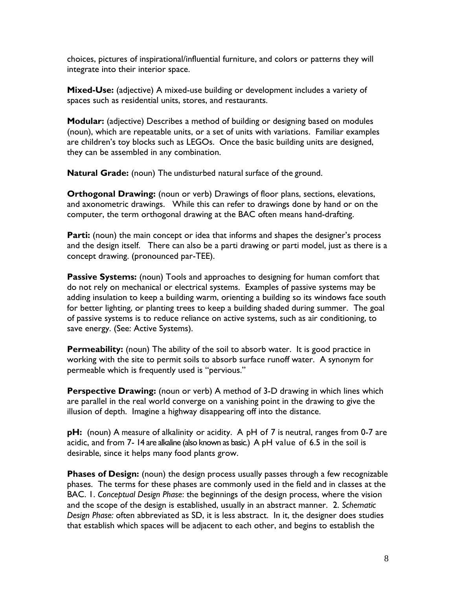choices, pictures of inspirational/influential furniture, and colors or patterns they will integrate into their interior space.

**Mixed-Use:** (adjective) A mixed-use building or development includes a variety of spaces such as residential units, stores, and restaurants.

**Modular:** (adjective) Describes a method of building or designing based on modules (noun), which are repeatable units, or a set of units with variations. Familiar examples are children's toy blocks such as LEGOs. Once the basic building units are designed, they can be assembled in any combination.

**Natural Grade:** (noun) The undisturbed natural surface of the ground.

**Orthogonal Drawing:** (noun or verb) Drawings of floor plans, sections, elevations, and axonometric drawings. While this can refer to drawings done by hand or on the computer, the term orthogonal drawing at the BAC often means hand-drafting.

**Parti:** (noun) the main concept or idea that informs and shapes the designer's process and the design itself. There can also be a parti drawing or parti model, just as there is a concept drawing. (pronounced par-TEE).

**Passive Systems:** (noun) Tools and approaches to designing for human comfort that do not rely on mechanical or electrical systems. Examples of passive systems may be adding insulation to keep a building warm, orienting a building so its windows face south for better lighting, or planting trees to keep a building shaded during summer. The goal of passive systems is to reduce reliance on active systems, such as air conditioning, to save energy. (See: Active Systems).

**Permeability:** (noun) The ability of the soil to absorb water. It is good practice in working with the site to permit soils to absorb surface runoff water. A synonym for permeable which is frequently used is "pervious."

**Perspective Drawing:** (noun or verb) A method of 3-D drawing in which lines which are parallel in the real world converge on a vanishing point in the drawing to give the illusion of depth. Imagine a highway disappearing off into the distance.

**pH:** (noun) A measure of alkalinity or acidity. A pH of 7 is neutral, ranges from 0-7 are acidic, and from 7- 14 are alkaline (also known as basic.) A pH value of 6.5 in the soil is desirable, since it helps many food plants grow.

**Phases of Design:** (noun) the design process usually passes through a few recognizable phases. The terms for these phases are commonly used in the field and in classes at the BAC. 1. *Conceptual Design Phase*: the beginnings of the design process, where the vision and the scope of the design is established, usually in an abstract manner. 2. *Schematic Design Phase:* often abbreviated as SD, it is less abstract. In it, the designer does studies that establish which spaces will be adjacent to each other, and begins to establish the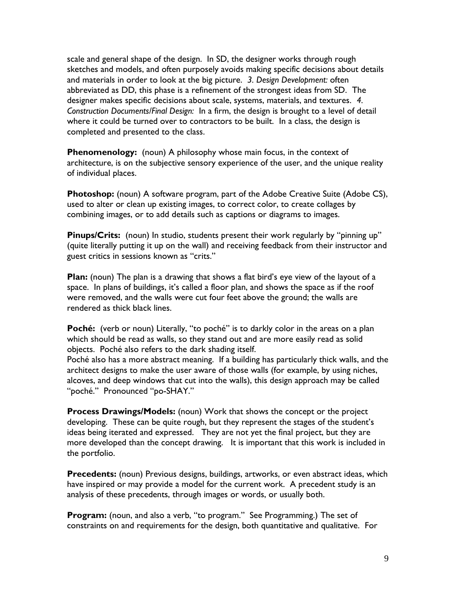scale and general shape of the design. In SD, the designer works through rough sketches and models, and often purposely avoids making specific decisions about details and materials in order to look at the big picture. *3. Design Development:* often abbreviated as DD, this phase is a refinement of the strongest ideas from SD. The designer makes specific decisions about scale, systems, materials, and textures. *4. Construction Documents/Final Design:* In a firm, the design is brought to a level of detail where it could be turned over to contractors to be built. In a class, the design is completed and presented to the class.

**Phenomenology:** (noun) A philosophy whose main focus, in the context of architecture, is on the subjective sensory experience of the user, and the unique reality of individual places.

**Photoshop:** (noun) A software program, part of the Adobe Creative Suite (Adobe CS), used to alter or clean up existing images, to correct color, to create collages by combining images, or to add details such as captions or diagrams to images.

**Pinups/Crits:** (noun) In studio, students present their work regularly by "pinning up" (quite literally putting it up on the wall) and receiving feedback from their instructor and guest critics in sessions known as "crits."

**Plan:** (noun) The plan is a drawing that shows a flat bird's eye view of the layout of a space. In plans of buildings, it's called a floor plan, and shows the space as if the roof were removed, and the walls were cut four feet above the ground; the walls are rendered as thick black lines.

Poché: (verb or noun) Literally, "to poché" is to darkly color in the areas on a plan which should be read as walls, so they stand out and are more easily read as solid objects. Poché also refers to the dark shading itself.

Poché also has a more abstract meaning. If a building has particularly thick walls, and the architect designs to make the user aware of those walls (for example, by using niches, alcoves, and deep windows that cut into the walls), this design approach may be called "poché." Pronounced "po-SHAY."

**Process Drawings/Models:** (noun) Work that shows the concept or the project developing. These can be quite rough, but they represent the stages of the student's ideas being iterated and expressed. They are not yet the final project, but they are more developed than the concept drawing. It is important that this work is included in the portfolio.

**Precedents:** (noun) Previous designs, buildings, artworks, or even abstract ideas, which have inspired or may provide a model for the current work. A precedent study is an analysis of these precedents, through images or words, or usually both.

**Program:** (noun, and also a verb, "to program." See Programming.) The set of constraints on and requirements for the design, both quantitative and qualitative. For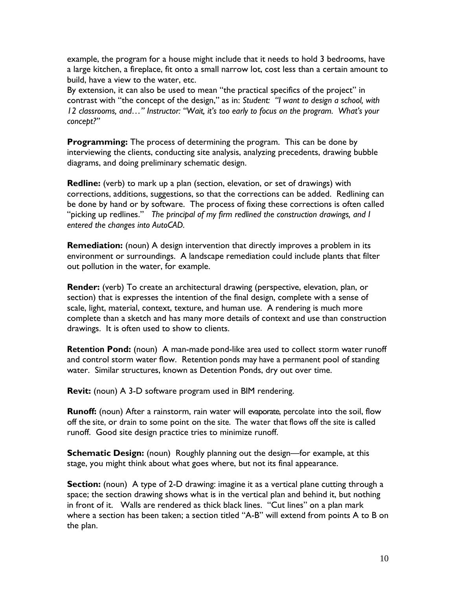example, the program for a house might include that it needs to hold 3 bedrooms, have a large kitchen, a fireplace, fit onto a small narrow lot, cost less than a certain amount to build, have a view to the water, etc.

By extension, it can also be used to mean "the practical specifics of the project" in contrast with "the concept of the design," as in: *Student: "I want to design a school, with 12 classrooms, and…" Instructor: "Wait, it's too early to focus on the program. What's your concept?"*

**Programming:** The process of determining the program. This can be done by interviewing the clients, conducting site analysis, analyzing precedents, drawing bubble diagrams, and doing preliminary schematic design.

**Redline:** (verb) to mark up a plan (section, elevation, or set of drawings) with corrections, additions, suggestions, so that the corrections can be added. Redlining can be done by hand or by software. The process of fixing these corrections is often called "picking up redlines." *The principal of my firm redlined the construction drawings, and I entered the changes into AutoCAD.*

**Remediation:** (noun) A design intervention that directly improves a problem in its environment or surroundings. A landscape remediation could include plants that filter out pollution in the water, for example.

**Render:** (verb) To create an architectural drawing (perspective, elevation, plan, or section) that is expresses the intention of the final design, complete with a sense of scale, light, material, context, texture, and human use. A rendering is much more complete than a sketch and has many more details of context and use than construction drawings. It is often used to show to clients.

**Retention Pond:** (noun) A man-made pond-like area used to collect storm water runoff and control storm water flow. Retention ponds may have a permanent pool of standing water. Similar structures, known as Detention Ponds, dry out over time.

**Revit:** (noun) A 3-D software program used in BIM rendering.

**Runoff:** (noun) After a rainstorm, rain water will evaporate, percolate into the soil, flow off the site, or drain to some point on the site. The water that flows off the site is called runoff. Good site design practice tries to minimize runoff.

**Schematic Design:** (noun) Roughly planning out the design—for example, at this stage, you might think about what goes where, but not its final appearance.

**Section:** (noun) A type of 2-D drawing: imagine it as a vertical plane cutting through a space; the section drawing shows what is in the vertical plan and behind it, but nothing in front of it. Walls are rendered as thick black lines. "Cut lines" on a plan mark where a section has been taken; a section titled "A-B" will extend from points A to B on the plan.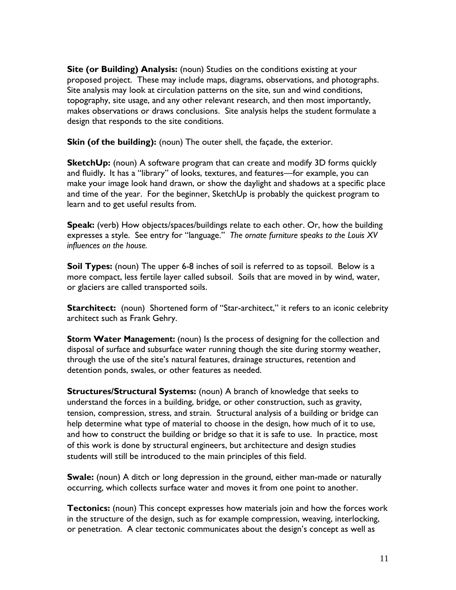**Site (or Building) Analysis:** (noun) Studies on the conditions existing at your proposed project. These may include maps, diagrams, observations, and photographs. Site analysis may look at circulation patterns on the site, sun and wind conditions, topography, site usage, and any other relevant research, and then most importantly, makes observations or draws conclusions. Site analysis helps the student formulate a design that responds to the site conditions.

**Skin (of the building):** (noun) The outer shell, the façade, the exterior.

**SketchUp:** (noun) A software program that can create and modify 3D forms quickly and fluidly**.** It has a "library" of looks, textures, and features—for example, you can make your image look hand drawn, or show the daylight and shadows at a specific place and time of the year. For the beginner, SketchUp is probably the quickest program to learn and to get useful results from.

**Speak:** (verb) How objects/spaces/buildings relate to each other. Or, how the building expresses a style. See entry for "language." *The ornate furniture speaks to the Louis XV influences on the house.* 

**Soil Types:** (noun) The upper 6-8 inches of soil is referred to as topsoil. Below is a more compact, less fertile layer called subsoil. Soils that are moved in by wind, water, or glaciers are called transported soils.

**Starchitect:** (noun) Shortened form of "Star-architect," it refers to an iconic celebrity architect such as Frank Gehry.

**Storm Water Management:** (noun) Is the process of designing for the collection and disposal of surface and subsurface water running though the site during stormy weather, through the use of the site's natural features, drainage structures, retention and detention ponds, swales, or other features as needed.

**Structures/Structural Systems:** (noun) A branch of knowledge that seeks to understand the forces in a building, bridge, or other construction, such as gravity, tension, compression, stress, and strain. Structural analysis of a building or bridge can help determine what type of material to choose in the design, how much of it to use, and how to construct the building or bridge so that it is safe to use. In practice, most of this work is done by structural engineers, but architecture and design studies students will still be introduced to the main principles of this field.

**Swale:** (noun) A ditch or long depression in the ground, either man-made or naturally occurring, which collects surface water and moves it from one point to another.

**Tectonics:** (noun) This concept expresses how materials join and how the forces work in the structure of the design, such as for example compression, weaving, interlocking, or penetration. A clear tectonic communicates about the design's concept as well as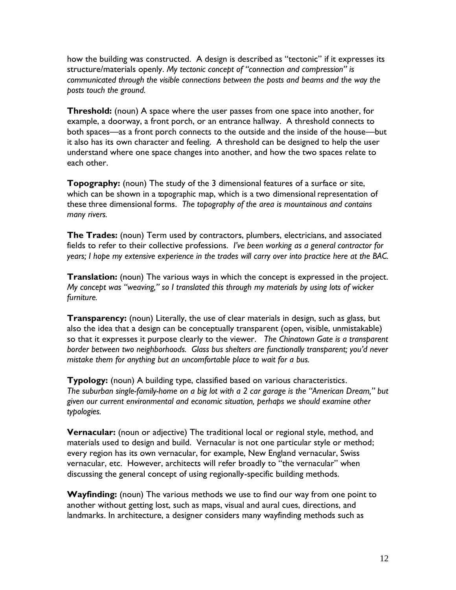how the building was constructed. A design is described as "tectonic" if it expresses its structure/materials openly. *My tectonic concept of "connection and compression" is communicated through the visible connections between the posts and beams and the way the posts touch the ground.*

**Threshold:** (noun) A space where the user passes from one space into another, for example, a doorway, a front porch, or an entrance hallway. A threshold connects to both spaces—as a front porch connects to the outside and the inside of the house—but it also has its own character and feeling. A threshold can be designed to help the user understand where one space changes into another, and how the two spaces relate to each other.

**Topography:** (noun) The study of the 3 dimensional features of a surface or site, which can be shown in a topographic map, which is a two dimensional representation of these three dimensional forms. *The topography of the area is mountainous and contains many rivers.*

**The Trades:** (noun) Term used by contractors, plumbers, electricians, and associated fields to refer to their collective professions. *I've been working as a general contractor for years; I hope my extensive experience in the trades will carry over into practice here at the BAC.*

**Translation:** (noun) The various ways in which the concept is expressed in the project. *My concept was "weaving," so I translated this through my materials by using lots of wicker furniture.*

**Transparency:** (noun) Literally, the use of clear materials in design, such as glass, but also the idea that a design can be conceptually transparent (open, visible, unmistakable) so that it expresses it purpose clearly to the viewer. *The Chinatown Gate is a transparent border between two neighborhoods. Glass bus shelters are functionally transparent; you'd never mistake them for anything but an uncomfortable place to wait for a bus.*

**Typology:** (noun) A building type, classified based on various characteristics. *The suburban single-family-home on a big lot with a 2 car garage is the "American Dream," but given our current environmental and economic situation, perhaps we should examine other typologies.*

**Vernacular:** (noun or adjective) The traditional local or regional style, method, and materials used to design and build. Vernacular is not one particular style or method; every region has its own vernacular, for example, New England vernacular, Swiss vernacular, etc. However, architects will refer broadly to "the vernacular" when discussing the general concept of using regionally-specific building methods.

**Wayfinding:** (noun) The various methods we use to find our way from one point to another without getting lost, such as maps, visual and aural cues, directions, and landmarks. In architecture, a designer considers many wayfinding methods such as